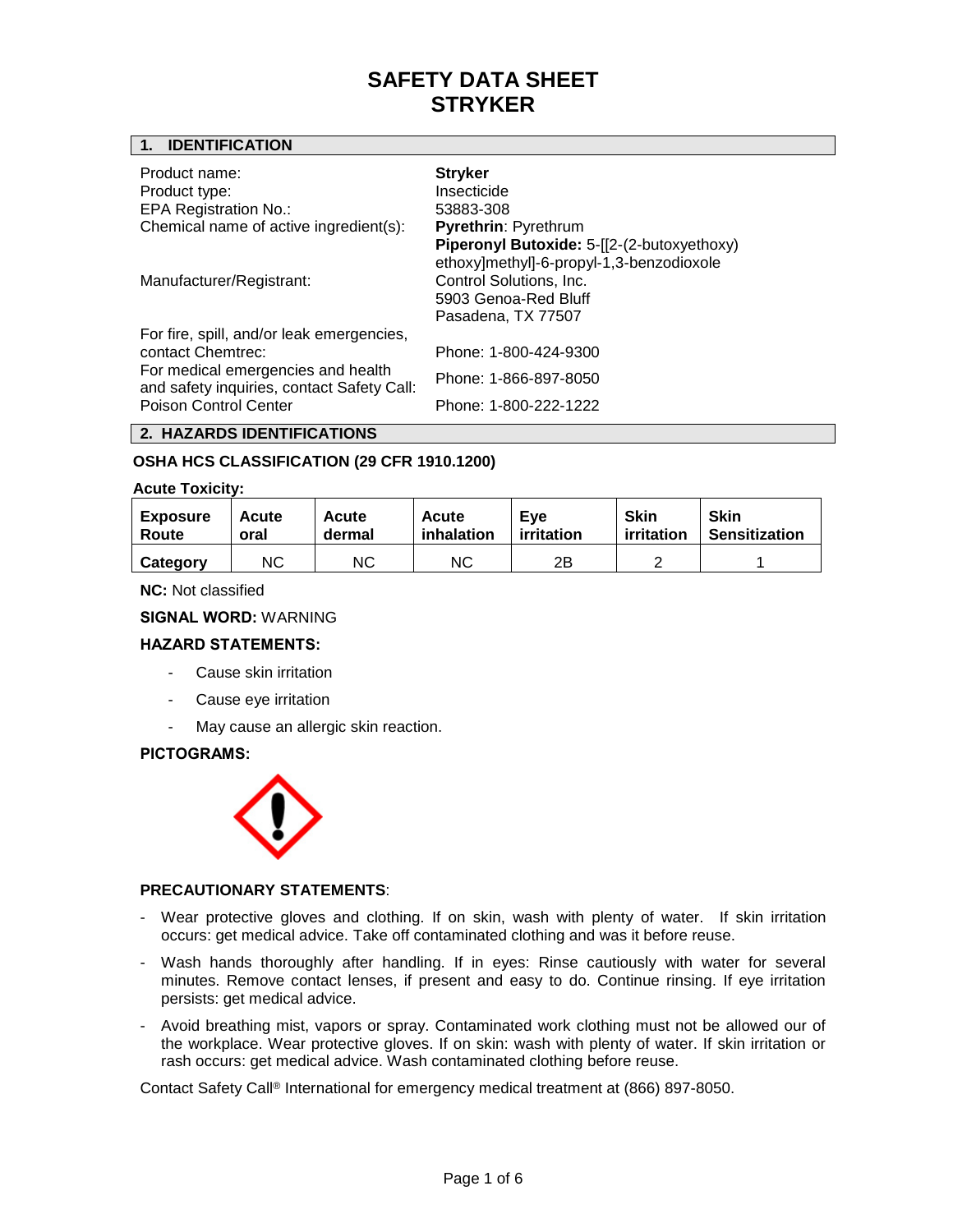## **1. IDENTIFICATION**

| Manufacturer/Registrant:                                                   | ethoxy]methyl]-6-propyl-1,3-benzodioxole<br>Control Solutions, Inc.<br>5903 Genoa-Red Bluff |  |  |  |  |
|----------------------------------------------------------------------------|---------------------------------------------------------------------------------------------|--|--|--|--|
|                                                                            | Pasadena, TX 77507                                                                          |  |  |  |  |
| For fire, spill, and/or leak emergencies,<br>contact Chemtrec:             | Phone: 1-800-424-9300                                                                       |  |  |  |  |
| For medical emergencies and health                                         | Phone: 1-866-897-8050                                                                       |  |  |  |  |
| and safety inquiries, contact Safety Call:<br><b>Poison Control Center</b> | Phone: 1-800-222-1222                                                                       |  |  |  |  |

# **OSHA HCS CLASSIFICATION (29 CFR 1910.1200)**

#### **Acute Toxicity:**

| <b>Exposure</b> | Acute | <b>Acute</b> | <b>Acute</b> | Eve        | <b>Skin</b> | <b>Skin</b>          |
|-----------------|-------|--------------|--------------|------------|-------------|----------------------|
| Route           | oral  | dermal       | inhalation   | irritation | irritation  | <b>Sensitization</b> |
| Category        | ΝC    | NС           | ΝC           | 2Β         |             |                      |

**NC:** Not classified

**SIGNAL WORD:** WARNING

#### **HAZARD STATEMENTS:**

- Cause skin irritation
- Cause eye irritation
- May cause an allergic skin reaction.

#### **PICTOGRAMS:**



#### **PRECAUTIONARY STATEMENTS**:

- Wear protective gloves and clothing. If on skin, wash with plenty of water. If skin irritation occurs: get medical advice. Take off contaminated clothing and was it before reuse.
- Wash hands thoroughly after handling. If in eyes: Rinse cautiously with water for several minutes. Remove contact lenses, if present and easy to do. Continue rinsing. If eye irritation persists: get medical advice.
- Avoid breathing mist, vapors or spray. Contaminated work clothing must not be allowed our of the workplace. Wear protective gloves. If on skin: wash with plenty of water. If skin irritation or rash occurs: get medical advice. Wash contaminated clothing before reuse.

Contact Safety Call® International for emergency medical treatment at (866) 897-8050.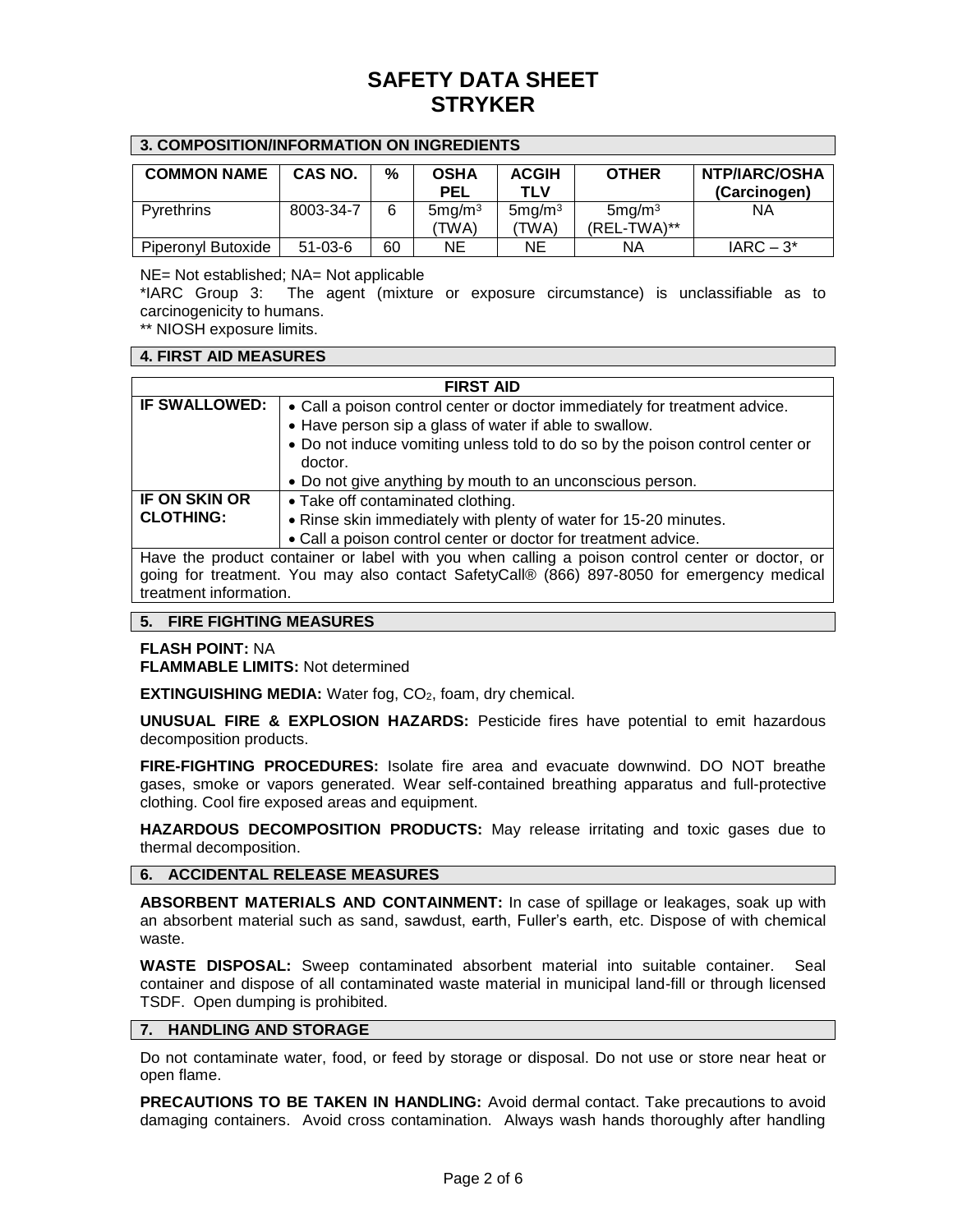| 3. COMPOSITION/INFORMATION ON INGREDIENTS |               |    |                    |                            |                    |                                      |
|-------------------------------------------|---------------|----|--------------------|----------------------------|--------------------|--------------------------------------|
| <b>COMMON NAME</b>                        | CAS NO.       | %  | <b>OSHA</b><br>PEL | <b>ACGIH</b><br><b>TLV</b> | <b>OTHER</b>       | <b>NTP/IARC/OSHA</b><br>(Carcinogen) |
| Pyrethrins                                | 8003-34-7     | 6  | 5mg/m <sup>3</sup> | 5mg/m <sup>3</sup>         | 5mg/m <sup>3</sup> | NА                                   |
|                                           |               |    | 'TWA)              | (TWA)                      | (REL-TWA)**        |                                      |
| Piperonyl Butoxide                        | $51 - 03 - 6$ | 60 | ΝE                 | NE                         | ΝA                 | $IARC - 3*$                          |

NE= Not established; NA= Not applicable

\*IARC Group 3: The agent (mixture or exposure circumstance) is unclassifiable as to carcinogenicity to humans.

\*\* NIOSH exposure limits.

#### **4. FIRST AID MEASURES**

| <b>FIRST AID</b>                                                                                |                                                                               |  |  |  |
|-------------------------------------------------------------------------------------------------|-------------------------------------------------------------------------------|--|--|--|
| <b>IF SWALLOWED:</b>                                                                            | • Call a poison control center or doctor immediately for treatment advice.    |  |  |  |
|                                                                                                 | • Have person sip a glass of water if able to swallow.                        |  |  |  |
|                                                                                                 | • Do not induce vomiting unless told to do so by the poison control center or |  |  |  |
|                                                                                                 | doctor.                                                                       |  |  |  |
|                                                                                                 | • Do not give anything by mouth to an unconscious person.                     |  |  |  |
| <b>IF ON SKIN OR</b>                                                                            | • Take off contaminated clothing.                                             |  |  |  |
| <b>CLOTHING:</b>                                                                                | • Rinse skin immediately with plenty of water for 15-20 minutes.              |  |  |  |
|                                                                                                 | • Call a poison control center or doctor for treatment advice.                |  |  |  |
| Have the product container or label with you when calling a poison control center or doctor, or |                                                                               |  |  |  |
| going for treatment. You may also contact SafetyCall® (866) 897-8050 for emergency medical      |                                                                               |  |  |  |
| treatment information.                                                                          |                                                                               |  |  |  |

### **5. FIRE FIGHTING MEASURES**

**FLASH POINT:** NA

**FLAMMABLE LIMITS:** Not determined

**EXTINGUISHING MEDIA:** Water fog, CO<sub>2</sub>, foam, dry chemical.

**UNUSUAL FIRE & EXPLOSION HAZARDS:** Pesticide fires have potential to emit hazardous decomposition products.

**FIRE-FIGHTING PROCEDURES:** Isolate fire area and evacuate downwind. DO NOT breathe gases, smoke or vapors generated. Wear self-contained breathing apparatus and full-protective clothing. Cool fire exposed areas and equipment.

**HAZARDOUS DECOMPOSITION PRODUCTS:** May release irritating and toxic gases due to thermal decomposition.

### **6. ACCIDENTAL RELEASE MEASURES**

**ABSORBENT MATERIALS AND CONTAINMENT:** In case of spillage or leakages, soak up with an absorbent material such as sand, sawdust, earth, Fuller's earth, etc. Dispose of with chemical waste.

**WASTE DISPOSAL:** Sweep contaminated absorbent material into suitable container. Seal container and dispose of all contaminated waste material in municipal land-fill or through licensed TSDF. Open dumping is prohibited.

### **7. HANDLING AND STORAGE**

Do not contaminate water, food, or feed by storage or disposal. Do not use or store near heat or open flame.

**PRECAUTIONS TO BE TAKEN IN HANDLING:** Avoid dermal contact. Take precautions to avoid damaging containers. Avoid cross contamination. Always wash hands thoroughly after handling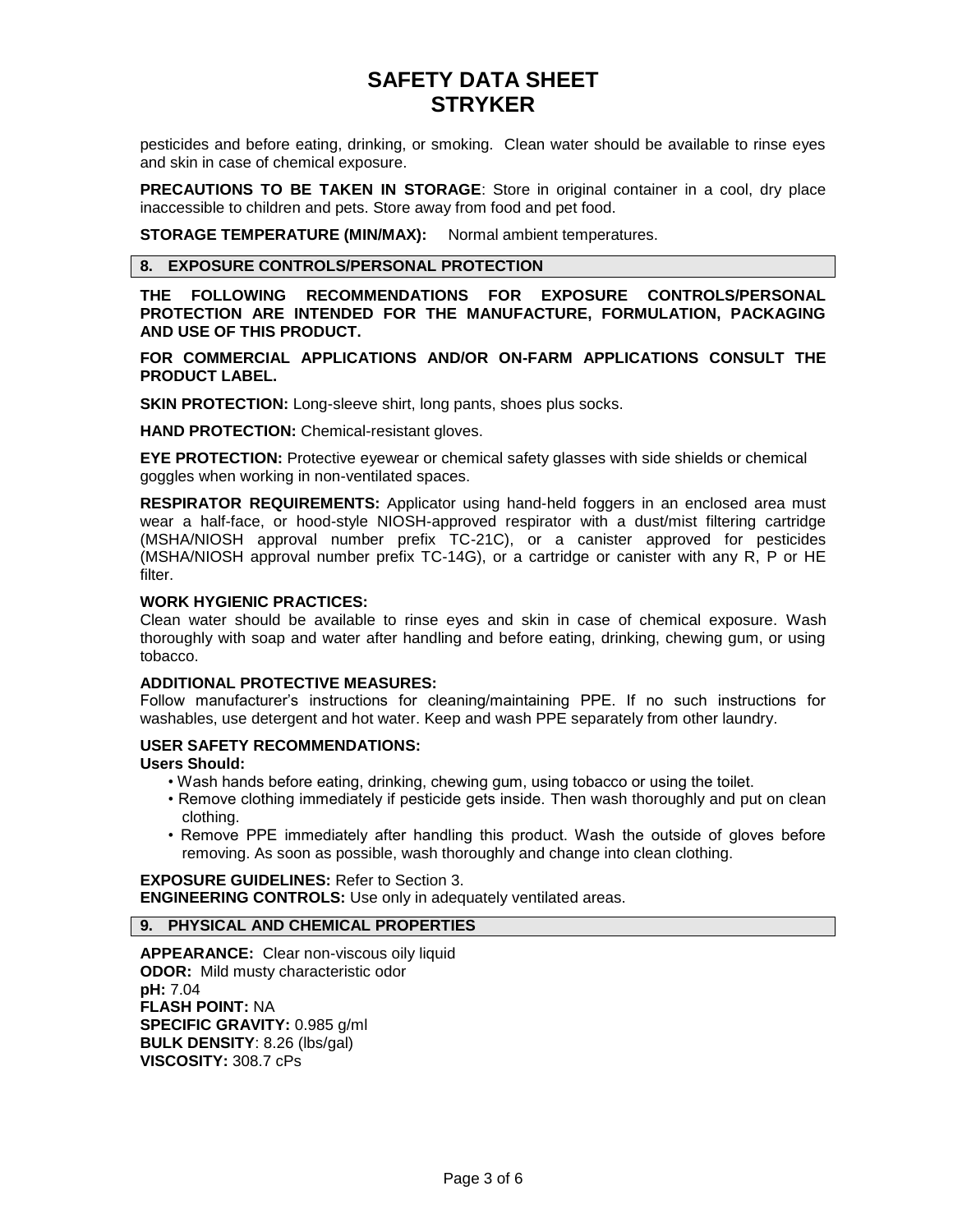pesticides and before eating, drinking, or smoking. Clean water should be available to rinse eyes and skin in case of chemical exposure.

**PRECAUTIONS TO BE TAKEN IN STORAGE**: Store in original container in a cool, dry place inaccessible to children and pets. Store away from food and pet food.

**STORAGE TEMPERATURE (MIN/MAX):** Normal ambient temperatures.

#### **8. EXPOSURE CONTROLS/PERSONAL PROTECTION**

**THE FOLLOWING RECOMMENDATIONS FOR EXPOSURE CONTROLS/PERSONAL PROTECTION ARE INTENDED FOR THE MANUFACTURE, FORMULATION, PACKAGING AND USE OF THIS PRODUCT.**

**FOR COMMERCIAL APPLICATIONS AND/OR ON-FARM APPLICATIONS CONSULT THE PRODUCT LABEL.**

**SKIN PROTECTION:** Long-sleeve shirt, long pants, shoes plus socks.

**HAND PROTECTION:** Chemical-resistant gloves.

**EYE PROTECTION:** Protective eyewear or chemical safety glasses with side shields or chemical goggles when working in non-ventilated spaces.

**RESPIRATOR REQUIREMENTS:** Applicator using hand-held foggers in an enclosed area must wear a half-face, or hood-style NIOSH-approved respirator with a dust/mist filtering cartridge (MSHA/NIOSH approval number prefix TC-21C), or a canister approved for pesticides (MSHA/NIOSH approval number prefix TC-14G), or a cartridge or canister with any R, P or HE filter.

## **WORK HYGIENIC PRACTICES:**

Clean water should be available to rinse eyes and skin in case of chemical exposure. Wash thoroughly with soap and water after handling and before eating, drinking, chewing gum, or using tobacco.

#### **ADDITIONAL PROTECTIVE MEASURES:**

Follow manufacturer's instructions for cleaning/maintaining PPE. If no such instructions for washables, use detergent and hot water. Keep and wash PPE separately from other laundry.

### **USER SAFETY RECOMMENDATIONS:**

**Users Should:**

- Wash hands before eating, drinking, chewing gum, using tobacco or using the toilet.
- Remove clothing immediately if pesticide gets inside. Then wash thoroughly and put on clean clothing.
- Remove PPE immediately after handling this product. Wash the outside of gloves before removing. As soon as possible, wash thoroughly and change into clean clothing.

**EXPOSURE GUIDELINES:** Refer to Section 3. **ENGINEERING CONTROLS:** Use only in adequately ventilated areas.

**9. PHYSICAL AND CHEMICAL PROPERTIES**

**APPEARANCE:** Clear non-viscous oily liquid **ODOR:** Mild musty characteristic odor **pH:** 7.04 **FLASH POINT:** NA **SPECIFIC GRAVITY:** 0.985 g/ml **BULK DENSITY**: 8.26 (lbs/gal) **VISCOSITY:** 308.7 cPs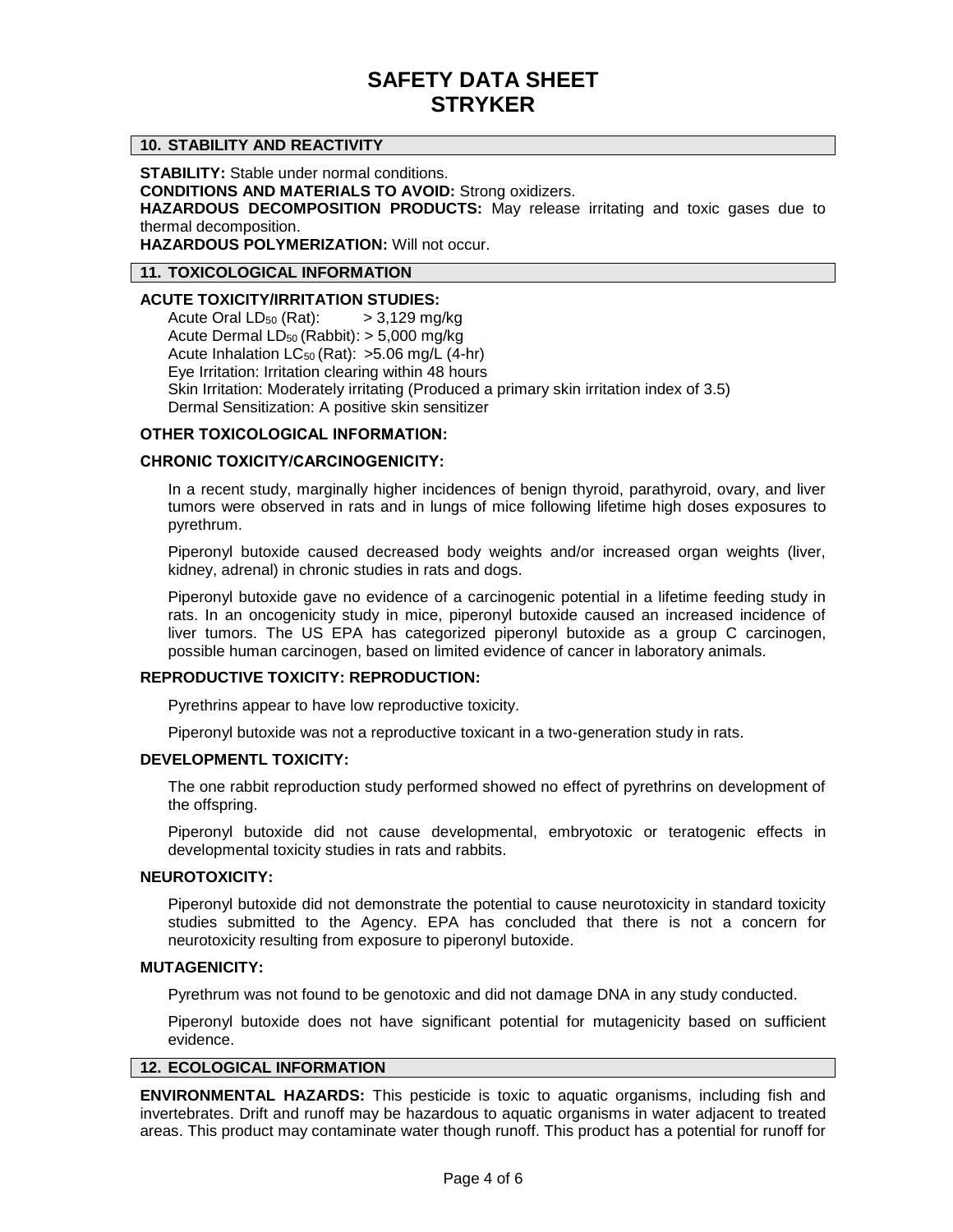## **10. STABILITY AND REACTIVITY**

**STABILITY:** Stable under normal conditions.

**CONDITIONS AND MATERIALS TO AVOID:** Strong oxidizers.

**HAZARDOUS DECOMPOSITION PRODUCTS:** May release irritating and toxic gases due to thermal decomposition.

**HAZARDOUS POLYMERIZATION:** Will not occur.

#### **11. TOXICOLOGICAL INFORMATION**

## **ACUTE TOXICITY/IRRITATION STUDIES:**

Acute Oral  $LD_{50}$  (Rat):  $> 3,129$  mg/kg Acute Dermal  $LD_{50}$  (Rabbit):  $> 5,000$  mg/kg Acute Inhalation  $LC_{50}$  (Rat):  $>5.06$  mg/L (4-hr) Eye Irritation: Irritation clearing within 48 hours Skin Irritation: Moderately irritating (Produced a primary skin irritation index of 3.5) Dermal Sensitization: A positive skin sensitizer

### **OTHER TOXICOLOGICAL INFORMATION:**

## **CHRONIC TOXICITY/CARCINOGENICITY:**

In a recent study, marginally higher incidences of benign thyroid, parathyroid, ovary, and liver tumors were observed in rats and in lungs of mice following lifetime high doses exposures to pyrethrum.

Piperonyl butoxide caused decreased body weights and/or increased organ weights (liver, kidney, adrenal) in chronic studies in rats and dogs.

Piperonyl butoxide gave no evidence of a carcinogenic potential in a lifetime feeding study in rats. In an oncogenicity study in mice, piperonyl butoxide caused an increased incidence of liver tumors. The US EPA has categorized piperonyl butoxide as a group C carcinogen, possible human carcinogen, based on limited evidence of cancer in laboratory animals.

### **REPRODUCTIVE TOXICITY: REPRODUCTION:**

Pyrethrins appear to have low reproductive toxicity.

Piperonyl butoxide was not a reproductive toxicant in a two-generation study in rats.

#### **DEVELOPMENTL TOXICITY:**

The one rabbit reproduction study performed showed no effect of pyrethrins on development of the offspring.

Piperonyl butoxide did not cause developmental, embryotoxic or teratogenic effects in developmental toxicity studies in rats and rabbits.

#### **NEUROTOXICITY:**

Piperonyl butoxide did not demonstrate the potential to cause neurotoxicity in standard toxicity studies submitted to the Agency. EPA has concluded that there is not a concern for neurotoxicity resulting from exposure to piperonyl butoxide.

# **MUTAGENICITY:**

Pyrethrum was not found to be genotoxic and did not damage DNA in any study conducted.

Piperonyl butoxide does not have significant potential for mutagenicity based on sufficient evidence.

#### **12. ECOLOGICAL INFORMATION**

**ENVIRONMENTAL HAZARDS:** This pesticide is toxic to aquatic organisms, including fish and invertebrates. Drift and runoff may be hazardous to aquatic organisms in water adjacent to treated areas. This product may contaminate water though runoff. This product has a potential for runoff for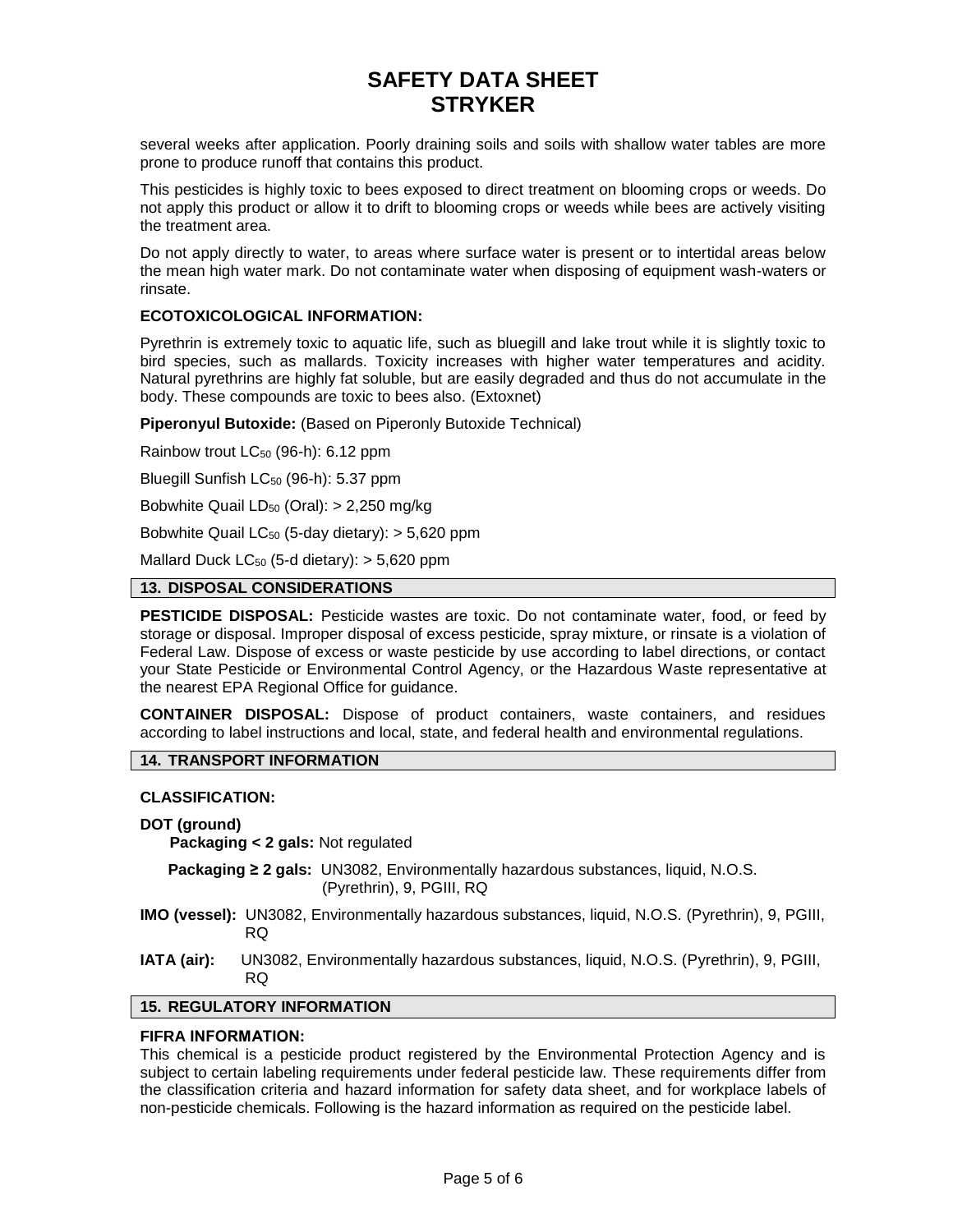several weeks after application. Poorly draining soils and soils with shallow water tables are more prone to produce runoff that contains this product.

This pesticides is highly toxic to bees exposed to direct treatment on blooming crops or weeds. Do not apply this product or allow it to drift to blooming crops or weeds while bees are actively visiting the treatment area.

Do not apply directly to water, to areas where surface water is present or to intertidal areas below the mean high water mark. Do not contaminate water when disposing of equipment wash-waters or rinsate.

## **ECOTOXICOLOGICAL INFORMATION:**

Pyrethrin is extremely toxic to aquatic life, such as bluegill and lake trout while it is slightly toxic to bird species, such as mallards. Toxicity increases with higher water temperatures and acidity. Natural pyrethrins are highly fat soluble, but are easily degraded and thus do not accumulate in the body. These compounds are toxic to bees also. (Extoxnet)

**Piperonyul Butoxide:** (Based on Piperonly Butoxide Technical)

Rainbow trout LC<sub>50</sub> (96-h): 6.12 ppm

Bluegill Sunfish LC<sub>50</sub> (96-h): 5.37 ppm

Bobwhite Quail  $LD_{50}$  (Oral):  $> 2,250$  mg/kg

Bobwhite Quail  $LC_{50}$  (5-day dietary):  $> 5,620$  ppm

Mallard Duck  $LC_{50}$  (5-d dietary):  $> 5,620$  ppm

#### **13. DISPOSAL CONSIDERATIONS**

**PESTICIDE DISPOSAL:** Pesticide wastes are toxic. Do not contaminate water, food, or feed by storage or disposal. Improper disposal of excess pesticide, spray mixture, or rinsate is a violation of Federal Law. Dispose of excess or waste pesticide by use according to label directions, or contact your State Pesticide or Environmental Control Agency, or the Hazardous Waste representative at the nearest EPA Regional Office for guidance.

**CONTAINER DISPOSAL:** Dispose of product containers, waste containers, and residues according to label instructions and local, state, and federal health and environmental regulations.

# **14. TRANSPORT INFORMATION**

### **CLASSIFICATION:**

### **DOT (ground)**

**Packaging < 2 gals:** Not regulated

**Packaging ≥ 2 gals:** UN3082, Environmentally hazardous substances, liquid, N.O.S. (Pyrethrin), 9, PGIII, RQ

- **IMO (vessel):** UN3082, Environmentally hazardous substances, liquid, N.O.S. (Pyrethrin), 9, PGIII, RQ
- **IATA (air):** UN3082, Environmentally hazardous substances, liquid, N.O.S. (Pyrethrin), 9, PGIII, RQ

### **15. REGULATORY INFORMATION**

## **FIFRA INFORMATION:**

This chemical is a pesticide product registered by the Environmental Protection Agency and is subject to certain labeling requirements under federal pesticide law. These requirements differ from the classification criteria and hazard information for safety data sheet, and for workplace labels of non-pesticide chemicals. Following is the hazard information as required on the pesticide label.